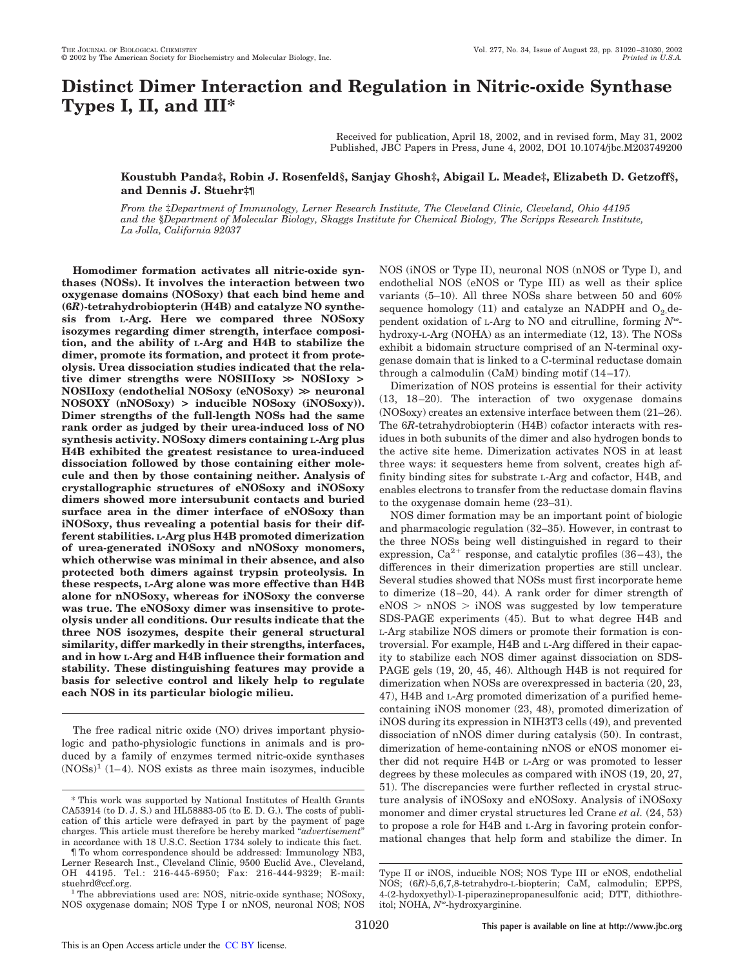# **Distinct Dimer Interaction and Regulation in Nitric-oxide Synthase Types I, II, and III\***

Received for publication, April 18, 2002, and in revised form, May 31, 2002 Published, JBC Papers in Press, June 4, 2002, DOI 10.1074/jbc.M203749200

## **Koustubh Panda‡, Robin J. Rosenfeld§, Sanjay Ghosh‡, Abigail L. Meade‡, Elizabeth D. Getzoff§, and Dennis J. Stuehr‡¶**

*From the* ‡*Department of Immunology, Lerner Research Institute, The Cleveland Clinic, Cleveland, Ohio 44195 and the* §*Department of Molecular Biology, Skaggs Institute for Chemical Biology, The Scripps Research Institute, La Jolla, California 92037*

**Homodimer formation activates all nitric-oxide synthases (NOSs). It involves the interaction between two oxygenase domains (NOSoxy) that each bind heme and (6***R***)-tetrahydrobiopterin (H4B) and catalyze NO synthesis from L-Arg. Here we compared three NOSoxy isozymes regarding dimer strength, interface composition, and the ability of L-Arg and H4B to stabilize the dimer, promote its formation, and protect it from proteolysis. Urea dissociation studies indicated that the relative dimer strengths were NOSIIIoxy >> NOSIoxy > NOSIIoxy (endothelial NOSoxy (eNOSoxy) >> neuronal NOSOXY (nNOSoxy) > inducible NOSoxy (iNOSoxy)). Dimer strengths of the full-length NOSs had the same rank order as judged by their urea-induced loss of NO synthesis activity. NOSoxy dimers containing L-Arg plus H4B exhibited the greatest resistance to urea-induced dissociation followed by those containing either molecule and then by those containing neither. Analysis of crystallographic structures of eNOSoxy and iNOSoxy dimers showed more intersubunit contacts and buried surface area in the dimer interface of eNOSoxy than iNOSoxy, thus revealing a potential basis for their different stabilities. L-Arg plus H4B promoted dimerization of urea-generated iNOSoxy and nNOSoxy monomers, which otherwise was minimal in their absence, and also protected both dimers against trypsin proteolysis. In these respects, L-Arg alone was more effective than H4B alone for nNOSoxy, whereas for iNOSoxy the converse was true. The eNOSoxy dimer was insensitive to proteolysis under all conditions. Our results indicate that the three NOS isozymes, despite their general structural similarity, differ markedly in their strengths, interfaces, and in how L-Arg and H4B influence their formation and stability. These distinguishing features may provide a basis for selective control and likely help to regulate each NOS in its particular biologic milieu.**

The free radical nitric oxide (NO) drives important physiologic and patho-physiologic functions in animals and is produced by a family of enzymes termed nitric-oxide synthases  $(NOSs)^1$  (1-4). NOS exists as three main isozymes, inducible NOS (iNOS or Type II), neuronal NOS (nNOS or Type I), and endothelial NOS (eNOS or Type III) as well as their splice variants (5–10). All three NOSs share between 50 and 60% sequence homology (11) and catalyze an NADPH and  $O<sub>2</sub>$  dependent oxidation of L-Arg to NO and citrulline, forming *N* hydroxy-L-Arg (NOHA) as an intermediate (12, 13). The NOSs exhibit a bidomain structure comprised of an N-terminal oxygenase domain that is linked to a C-terminal reductase domain through a calmodulin (CaM) binding motif (14–17).

Dimerization of NOS proteins is essential for their activity (13, 18–20). The interaction of two oxygenase domains (NOSoxy) creates an extensive interface between them (21–26). The 6*R*-tetrahydrobiopterin (H4B) cofactor interacts with residues in both subunits of the dimer and also hydrogen bonds to the active site heme. Dimerization activates NOS in at least three ways: it sequesters heme from solvent, creates high affinity binding sites for substrate L-Arg and cofactor, H4B, and enables electrons to transfer from the reductase domain flavins to the oxygenase domain heme (23–31).

NOS dimer formation may be an important point of biologic and pharmacologic regulation (32–35). However, in contrast to the three NOSs being well distinguished in regard to their expression,  $Ca^{2+}$  response, and catalytic profiles (36–43), the differences in their dimerization properties are still unclear. Several studies showed that NOSs must first incorporate heme to dimerize (18–20, 44). A rank order for dimer strength of eNOS > nNOS > iNOS was suggested by low temperature SDS-PAGE experiments (45). But to what degree H4B and L-Arg stabilize NOS dimers or promote their formation is controversial. For example, H4B and L-Arg differed in their capacity to stabilize each NOS dimer against dissociation on SDS-PAGE gels (19, 20, 45, 46). Although H4B is not required for dimerization when NOSs are overexpressed in bacteria (20, 23, 47), H4B and L-Arg promoted dimerization of a purified hemecontaining iNOS monomer (23, 48), promoted dimerization of iNOS during its expression in NIH3T3 cells (49), and prevented dissociation of nNOS dimer during catalysis (50). In contrast, dimerization of heme-containing nNOS or eNOS monomer either did not require H4B or L-Arg or was promoted to lesser degrees by these molecules as compared with iNOS (19, 20, 27, 51). The discrepancies were further reflected in crystal structure analysis of iNOSoxy and eNOSoxy. Analysis of iNOSoxy monomer and dimer crystal structures led Crane *et al.* (24, 53) to propose a role for H4B and L-Arg in favoring protein conformational changes that help form and stabilize the dimer. In

<sup>\*</sup> This work was supported by National Institutes of Health Grants CA53914 (to D. J. S.) and HL58883-05 (to E. D. G.). The costs of publication of this article were defrayed in part by the payment of page charges. This article must therefore be hereby marked "*advertisement*" in accordance with 18 U.S.C. Section 1734 solely to indicate this fact.

<sup>¶</sup> To whom correspondence should be addressed: Immunology NB3, Lerner Research Inst., Cleveland Clinic, 9500 Euclid Ave., Cleveland, OH 44195. Tel.: 216-445-6950; Fax: 216-444-9329; E-mail: stuehrd@ccf.org.

<sup>1</sup> The abbreviations used are: NOS, nitric-oxide synthase; NOSoxy, NOS oxygenase domain; NOS Type I or nNOS, neuronal NOS; NOS

Type II or iNOS, inducible NOS; NOS Type III or eNOS, endothelial NOS; (6*R*)-5,6,7,8-tetrahydro-L-biopterin; CaM, calmodulin; EPPS, 4-(2-hydoxyethyl)-1-piperazinepropanesulfonic acid; DTT, dithiothreitol; NOHA, *N* -hydroxyarginine.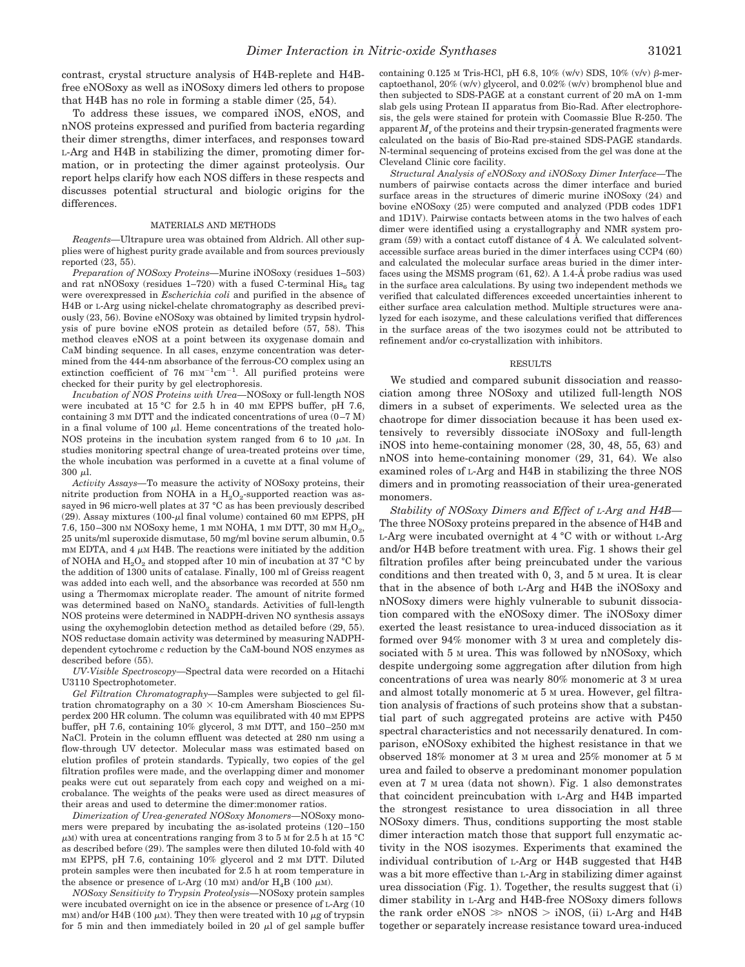contrast, crystal structure analysis of H4B-replete and H4Bfree eNOSoxy as well as iNOSoxy dimers led others to propose that H4B has no role in forming a stable dimer (25, 54).

To address these issues, we compared iNOS, eNOS, and nNOS proteins expressed and purified from bacteria regarding their dimer strengths, dimer interfaces, and responses toward L-Arg and H4B in stabilizing the dimer, promoting dimer formation, or in protecting the dimer against proteolysis. Our report helps clarify how each NOS differs in these respects and discusses potential structural and biologic origins for the differences.

#### MATERIALS AND METHODS

*Reagents—*Ultrapure urea was obtained from Aldrich. All other supplies were of highest purity grade available and from sources previously reported (23, 55).

*Preparation of NOSoxy Proteins—*Murine iNOSoxy (residues 1–503) and rat nNOSoxy (residues 1-720) with a fused C-terminal  $\mathrm{His}_6$  tag were overexpressed in *Escherichia coli* and purified in the absence of H4B or L-Arg using nickel-chelate chromatography as described previously (23, 56). Bovine eNOSoxy was obtained by limited trypsin hydrolysis of pure bovine eNOS protein as detailed before (57, 58). This method cleaves eNOS at a point between its oxygenase domain and CaM binding sequence. In all cases, enzyme concentration was determined from the 444-nm absorbance of the ferrous-CO complex using an extinction coefficient of 76  $mm^{-1}cm^{-1}$ . All purified proteins were checked for their purity by gel electrophoresis.

*Incubation of NOS Proteins with Urea—*NOSoxy or full-length NOS were incubated at 15 °C for 2.5 h in 40 mM EPPS buffer, pH 7.6, containing 3 mM DTT and the indicated concentrations of urea  $(0-7)$  M) in a final volume of 100  $\mu$ l. Heme concentrations of the treated holo-NOS proteins in the incubation system ranged from 6 to 10  $\mu$ M. In studies monitoring spectral change of urea-treated proteins over time, the whole incubation was performed in a cuvette at a final volume of  $300 \mu$ l.

*Activity Assays—*To measure the activity of NOSoxy proteins, their nitrite production from NOHA in a  $H_2O_2$ -supported reaction was assayed in 96 micro-well plates at 37 °C as has been previously described  $(29)$ . Assay mixtures  $(100-\mu)$  final volume) contained 60 mm EPPS, pH 7.6, 150–300 nm NOSoxy heme, 1 mm NOHA, 1 mm DTT, 30 mm  $\rm H_2O_2$ , 25 units/ml superoxide dismutase, 50 mg/ml bovine serum albumin, 0.5  $mm$  EDTA, and 4  $\mu$ M H4B. The reactions were initiated by the addition of NOHA and  $H_2O_2$  and stopped after 10 min of incubation at 37 °C by the addition of 1300 units of catalase. Finally, 100 ml of Greiss reagent was added into each well, and the absorbance was recorded at 550 nm using a Thermomax microplate reader. The amount of nitrite formed was determined based on  $\text{NaNO}_2$  standards. Activities of full-length NOS proteins were determined in NADPH-driven NO synthesis assays using the oxyhemoglobin detection method as detailed before (29, 55). NOS reductase domain activity was determined by measuring NADPHdependent cytochrome *c* reduction by the CaM-bound NOS enzymes as described before (55).

*UV-Visible Spectroscopy—*Spectral data were recorded on a Hitachi U3110 Spectrophotometer.

*Gel Filtration Chromatography—*Samples were subjected to gel filtration chromatography on a  $30 \times 10$ -cm Amersham Biosciences Superdex 200 HR column. The column was equilibrated with 40 mM EPPS buffer, pH 7.6, containing 10% glycerol, 3 mM DTT, and 150–250 mM NaCl. Protein in the column effluent was detected at 280 nm using a flow-through UV detector. Molecular mass was estimated based on elution profiles of protein standards. Typically, two copies of the gel filtration profiles were made, and the overlapping dimer and monomer peaks were cut out separately from each copy and weighed on a microbalance. The weights of the peaks were used as direct measures of their areas and used to determine the dimer:monomer ratios.

*Dimerization of Urea-generated NOSoxy Monomers—*NOSoxy monomers were prepared by incubating the as-isolated proteins (120–150  $\mu$ M) with urea at concentrations ranging from 3 to 5 M for 2.5 h at 15 °C as described before (29). The samples were then diluted 10-fold with 40 mM EPPS, pH 7.6, containing 10% glycerol and 2 mM DTT. Diluted protein samples were then incubated for 2.5 h at room temperature in the absence or presence of L-Arg  $(10 \text{ mm})$  and/or  $\text{H}_4\text{B}$   $(100 \text{ }\mu\text{m})$ .

*NOSoxy Sensitivity to Trypsin Proteolysis—*NOSoxy protein samples were incubated overnight on ice in the absence or presence of L-Arg (10 mM) and/or H4B (100  $\mu$ M). They then were treated with 10  $\mu$ g of trypsin for 5 min and then immediately boiled in 20  $\mu$ l of gel sample buffer containing 0.125 M Tris-HCl, pH 6.8,  $10\%$  (w/v) SDS,  $10\%$  (v/v)  $\beta$ -mercaptoethanol, 20% (w/v) glycerol, and 0.02% (w/v) bromphenol blue and then subjected to SDS-PAGE at a constant current of 20 mA on 1-mm slab gels using Protean II apparatus from Bio-Rad. After electrophoresis, the gels were stained for protein with Coomassie Blue R-250. The  $\mathit{a}$  paparent  $M_r$  of the proteins and their trypsin-generated fragments were calculated on the basis of Bio-Rad pre-stained SDS-PAGE standards. N-terminal sequencing of proteins excised from the gel was done at the Cleveland Clinic core facility.

*Structural Analysis of eNOSoxy and iNOSoxy Dimer Interface—*The numbers of pairwise contacts across the dimer interface and buried surface areas in the structures of dimeric murine iNOSoxy (24) and bovine eNOSoxy (25) were computed and analyzed (PDB codes 1DF1 and 1D1V). Pairwise contacts between atoms in the two halves of each dimer were identified using a crystallography and NMR system program (59) with a contact cutoff distance of 4 Å. We calculated solventaccessible surface areas buried in the dimer interfaces using CCP4 (60) and calculated the molecular surface areas buried in the dimer interfaces using the MSMS program (61, 62). A 1.4-Å probe radius was used in the surface area calculations. By using two independent methods we verified that calculated differences exceeded uncertainties inherent to either surface area calculation method. Multiple structures were analyzed for each isozyme, and these calculations verified that differences in the surface areas of the two isozymes could not be attributed to refinement and/or co-crystallization with inhibitors.

#### RESULTS

We studied and compared subunit dissociation and reassociation among three NOSoxy and utilized full-length NOS dimers in a subset of experiments. We selected urea as the chaotrope for dimer dissociation because it has been used extensively to reversibly dissociate iNOSoxy and full-length iNOS into heme-containing monomer (28, 30, 48, 55, 63) and nNOS into heme-containing monomer (29, 31, 64). We also examined roles of L-Arg and H4B in stabilizing the three NOS dimers and in promoting reassociation of their urea-generated monomers.

*Stability of NOSoxy Dimers and Effect of L-Arg and H4B—* The three NOSoxy proteins prepared in the absence of H4B and L-Arg were incubated overnight at 4 °C with or without L-Arg and/or H4B before treatment with urea. Fig. 1 shows their gel filtration profiles after being preincubated under the various conditions and then treated with 0, 3, and 5 M urea. It is clear that in the absence of both L-Arg and H4B the iNOSoxy and nNOSoxy dimers were highly vulnerable to subunit dissociation compared with the eNOSoxy dimer. The iNOSoxy dimer exerted the least resistance to urea-induced dissociation as it formed over 94% monomer with 3 M urea and completely dissociated with 5 M urea. This was followed by nNOSoxy, which despite undergoing some aggregation after dilution from high concentrations of urea was nearly 80% monomeric at 3 M urea and almost totally monomeric at 5 M urea. However, gel filtration analysis of fractions of such proteins show that a substantial part of such aggregated proteins are active with P450 spectral characteristics and not necessarily denatured. In comparison, eNOSoxy exhibited the highest resistance in that we observed 18% monomer at 3 M urea and 25% monomer at 5 M urea and failed to observe a predominant monomer population even at 7 M urea (data not shown). Fig. 1 also demonstrates that coincident preincubation with L-Arg and H4B imparted the strongest resistance to urea dissociation in all three NOSoxy dimers. Thus, conditions supporting the most stable dimer interaction match those that support full enzymatic activity in the NOS isozymes. Experiments that examined the individual contribution of L-Arg or H4B suggested that H4B was a bit more effective than L-Arg in stabilizing dimer against urea dissociation (Fig. 1). Together, the results suggest that (i) dimer stability in L-Arg and H4B-free NOSoxy dimers follows the rank order  $eNOS \gg nNOS > iNOS$ , (ii) L-Arg and H4B together or separately increase resistance toward urea-induced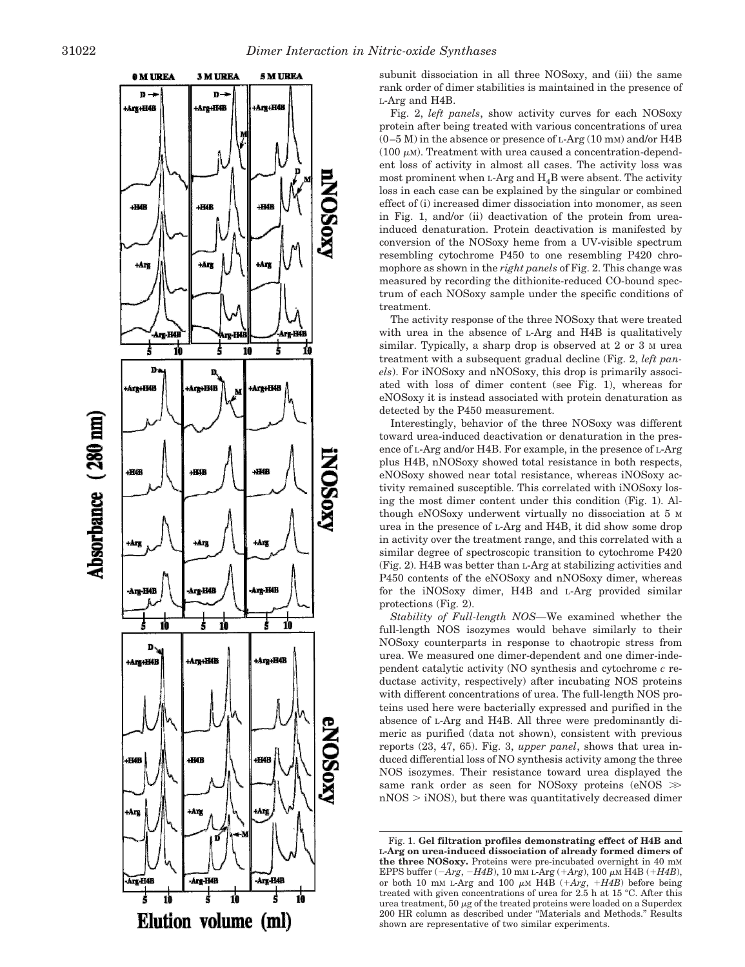

subunit dissociation in all three NOSoxy, and (iii) the same rank order of dimer stabilities is maintained in the presence of L-Arg and H4B.

Fig. 2, *left panels*, show activity curves for each NOSoxy protein after being treated with various concentrations of urea (0–5 M) in the absence or presence of L-Arg (10 mM) and/or H4B (100  $\mu$ м). Treatment with urea caused a concentration-dependent loss of activity in almost all cases. The activity loss was most prominent when L-Arg and  $H_4B$  were absent. The activity loss in each case can be explained by the singular or combined effect of (i) increased dimer dissociation into monomer, as seen in Fig. 1, and/or (ii) deactivation of the protein from ureainduced denaturation. Protein deactivation is manifested by conversion of the NOSoxy heme from a UV-visible spectrum resembling cytochrome P450 to one resembling P420 chromophore as shown in the *right panels* of Fig. 2. This change was measured by recording the dithionite-reduced CO-bound spectrum of each NOSoxy sample under the specific conditions of treatment.

The activity response of the three NOSoxy that were treated with urea in the absence of L-Arg and H4B is qualitatively similar. Typically, a sharp drop is observed at 2 or 3 M urea treatment with a subsequent gradual decline (Fig. 2, *left panels*). For iNOSoxy and nNOSoxy, this drop is primarily associated with loss of dimer content (see Fig. 1), whereas for eNOSoxy it is instead associated with protein denaturation as detected by the P450 measurement.

Interestingly, behavior of the three NOSoxy was different toward urea-induced deactivation or denaturation in the presence of L-Arg and/or H4B. For example, in the presence of L-Arg plus H4B, nNOSoxy showed total resistance in both respects, eNOSoxy showed near total resistance, whereas iNOSoxy activity remained susceptible. This correlated with iNOSoxy losing the most dimer content under this condition (Fig. 1). Although eNOSoxy underwent virtually no dissociation at 5 M urea in the presence of L-Arg and H4B, it did show some drop in activity over the treatment range, and this correlated with a similar degree of spectroscopic transition to cytochrome P420 (Fig. 2). H4B was better than L-Arg at stabilizing activities and P450 contents of the eNOSoxy and nNOSoxy dimer, whereas for the iNOSoxy dimer, H4B and L-Arg provided similar protections (Fig. 2).

*Stability of Full-length NOS—*We examined whether the full-length NOS isozymes would behave similarly to their NOSoxy counterparts in response to chaotropic stress from urea. We measured one dimer-dependent and one dimer-independent catalytic activity (NO synthesis and cytochrome *c* reductase activity, respectively) after incubating NOS proteins with different concentrations of urea. The full-length NOS proteins used here were bacterially expressed and purified in the absence of L-Arg and H4B. All three were predominantly dimeric as purified (data not shown), consistent with previous reports (23, 47, 65). Fig. 3, *upper panel*, shows that urea induced differential loss of NO synthesis activity among the three NOS isozymes. Their resistance toward urea displayed the same rank order as seen for NOSoxy proteins ( $eNOS \gg$ nNOS - iNOS), but there was quantitatively decreased dimer

Fig. 1. **Gel filtration profiles demonstrating effect of H4B and L-Arg on urea-induced dissociation of already formed dimers of the three NOSoxy.** Proteins were pre-incubated overnight in 40 mM EPPS buffer  $(-Arg, -H4B)$ , 10 mm L-Arg  $(+Arg)$ , 100  $\mu$ m H4B  $(+H4B)$ , or both 10 mm L-Arg and 100  $\mu$ m H4B ( $+Arg$ ,  $+H4B$ ) before being treated with given concentrations of urea for 2.5 h at 15 °C. After this urea treatment, 50  $\mu$ g of the treated proteins were loaded on a Superdex 200 HR column as described under "Materials and Methods." Results shown are representative of two similar experiments.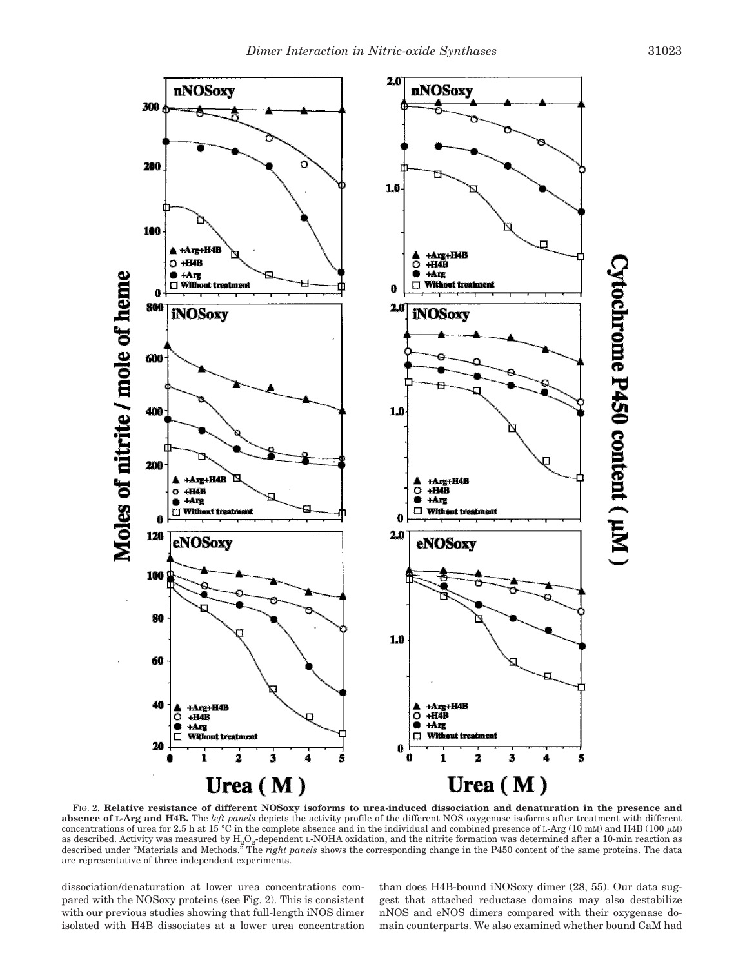

FIG. 2. **Relative resistance of different NOSoxy isoforms to urea-induced dissociation and denaturation in the presence and absence of L-Arg and H4B.** The *left panels* depicts the activity profile of the different NOS oxygenase isoforms after treatment with different concentrations of urea for 2.5 h at 15 °C in the complete absence and in the individual and combined presence of L-Arg (10 mM) and H4B (100  $\mu$ M) as described. Activity was measured by  $\rm H_2O_2$ -dependent L-NOHA oxidation, and the nitrite formation was determined after a 10-min reaction as described under "Materials and Methods." The *right panels* shows the corresponding change in the P450 content of the same proteins. The data are representative of three independent experiments.

dissociation/denaturation at lower urea concentrations compared with the NOSoxy proteins (see Fig. 2). This is consistent with our previous studies showing that full-length iNOS dimer isolated with H4B dissociates at a lower urea concentration

than does H4B-bound iNOSoxy dimer (28, 55). Our data suggest that attached reductase domains may also destabilize nNOS and eNOS dimers compared with their oxygenase domain counterparts. We also examined whether bound CaM had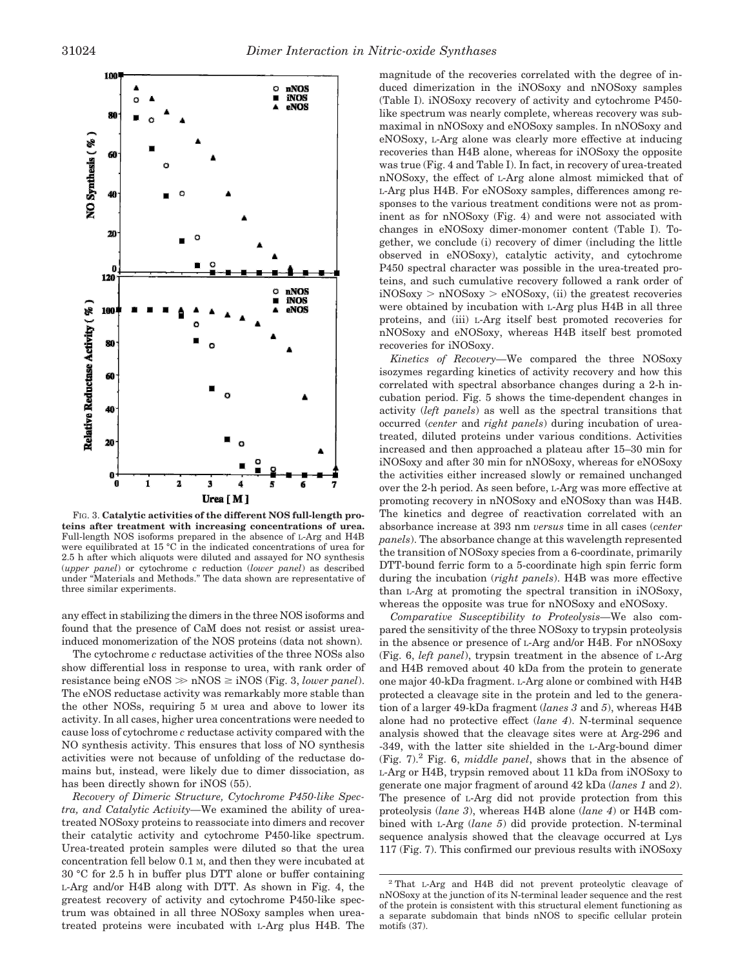

FIG. 3. **Catalytic activities of the different NOS full-length proteins after treatment with increasing concentrations of urea.** Full-length NOS isoforms prepared in the absence of L-Arg and H4B were equilibrated at 15 °C in the indicated concentrations of urea for 2.5 h after which aliquots were diluted and assayed for NO synthesis (*upper panel*) or cytochrome *c* reduction (*lower panel*) as described under "Materials and Methods." The data shown are representative of three similar experiments.

any effect in stabilizing the dimers in the three NOS isoforms and found that the presence of CaM does not resist or assist ureainduced monomerization of the NOS proteins (data not shown).

The cytochrome *c* reductase activities of the three NOSs also show differential loss in response to urea, with rank order of resistance being  $eNOS \gg nNOS \geq iNOS$  (Fig. 3, *lower panel*). The eNOS reductase activity was remarkably more stable than the other NOSs, requiring 5 M urea and above to lower its activity. In all cases, higher urea concentrations were needed to cause loss of cytochrome *c* reductase activity compared with the NO synthesis activity. This ensures that loss of NO synthesis activities were not because of unfolding of the reductase domains but, instead, were likely due to dimer dissociation, as has been directly shown for iNOS (55).

*Recovery of Dimeric Structure, Cytochrome P450-like Spectra, and Catalytic Activity—*We examined the ability of ureatreated NOSoxy proteins to reassociate into dimers and recover their catalytic activity and cytochrome P450-like spectrum. Urea-treated protein samples were diluted so that the urea concentration fell below 0.1 M, and then they were incubated at 30 °C for 2.5 h in buffer plus DTT alone or buffer containing L-Arg and/or H4B along with DTT. As shown in Fig. 4, the greatest recovery of activity and cytochrome P450-like spectrum was obtained in all three NOSoxy samples when ureatreated proteins were incubated with L-Arg plus H4B. The

magnitude of the recoveries correlated with the degree of induced dimerization in the iNOSoxy and nNOSoxy samples (Table I). iNOSoxy recovery of activity and cytochrome P450 like spectrum was nearly complete, whereas recovery was submaximal in nNOSoxy and eNOSoxy samples. In nNOSoxy and eNOSoxy, L-Arg alone was clearly more effective at inducing recoveries than H4B alone, whereas for iNOSoxy the opposite was true (Fig. 4 and Table I). In fact, in recovery of urea-treated nNOSoxy, the effect of L-Arg alone almost mimicked that of L-Arg plus H4B. For eNOSoxy samples, differences among responses to the various treatment conditions were not as prominent as for nNOSoxy (Fig. 4) and were not associated with changes in eNOSoxy dimer-monomer content (Table I). Together, we conclude (i) recovery of dimer (including the little observed in eNOSoxy), catalytic activity, and cytochrome P450 spectral character was possible in the urea-treated proteins, and such cumulative recovery followed a rank order of iNOSoxy - nNOSoxy - eNOSoxy, (ii) the greatest recoveries were obtained by incubation with L-Arg plus H4B in all three proteins, and (iii) L-Arg itself best promoted recoveries for nNOSoxy and eNOSoxy, whereas H4B itself best promoted recoveries for iNOSoxy.

*Kinetics of Recovery—*We compared the three NOSoxy isozymes regarding kinetics of activity recovery and how this correlated with spectral absorbance changes during a 2-h incubation period. Fig. 5 shows the time-dependent changes in activity (*left panels*) as well as the spectral transitions that occurred (*center* and *right panels*) during incubation of ureatreated, diluted proteins under various conditions. Activities increased and then approached a plateau after 15–30 min for iNOSoxy and after 30 min for nNOSoxy, whereas for eNOSoxy the activities either increased slowly or remained unchanged over the 2-h period. As seen before, L-Arg was more effective at promoting recovery in nNOSoxy and eNOSoxy than was H4B. The kinetics and degree of reactivation correlated with an absorbance increase at 393 nm *versus* time in all cases (*center panels*). The absorbance change at this wavelength represented the transition of NOSoxy species from a 6-coordinate, primarily DTT-bound ferric form to a 5-coordinate high spin ferric form during the incubation (*right panels*). H4B was more effective than L-Arg at promoting the spectral transition in iNOSoxy, whereas the opposite was true for nNOSoxy and eNOSoxy.

*Comparative Susceptibility to Proteolysis—*We also compared the sensitivity of the three NOSoxy to trypsin proteolysis in the absence or presence of L-Arg and/or H4B. For nNOSoxy (Fig. 6, *left panel*), trypsin treatment in the absence of L-Arg and H4B removed about 40 kDa from the protein to generate one major 40-kDa fragment. L-Arg alone or combined with H4B protected a cleavage site in the protein and led to the generation of a larger 49-kDa fragment (*lanes 3* and *5*), whereas H4B alone had no protective effect (*lane 4*). N-terminal sequence analysis showed that the cleavage sites were at Arg-296 and -349, with the latter site shielded in the L-Arg-bound dimer (Fig. 7).<sup>2</sup> Fig. 6, *middle panel*, shows that in the absence of L-Arg or H4B, trypsin removed about 11 kDa from iNOSoxy to generate one major fragment of around 42 kDa (*lanes 1* and *2*). The presence of L-Arg did not provide protection from this proteolysis (*lane 3*), whereas H4B alone (*lane 4*) or H4B combined with L-Arg (*lane 5*) did provide protection. N-terminal sequence analysis showed that the cleavage occurred at Lys 117 (Fig. 7). This confirmed our previous results with iNOSoxy

<sup>2</sup> That <sup>L</sup>-Arg and H4B did not prevent proteolytic cleavage of nNOSoxy at the junction of its N-terminal leader sequence and the rest of the protein is consistent with this structural element functioning as a separate subdomain that binds nNOS to specific cellular protein motifs  $(37)$ .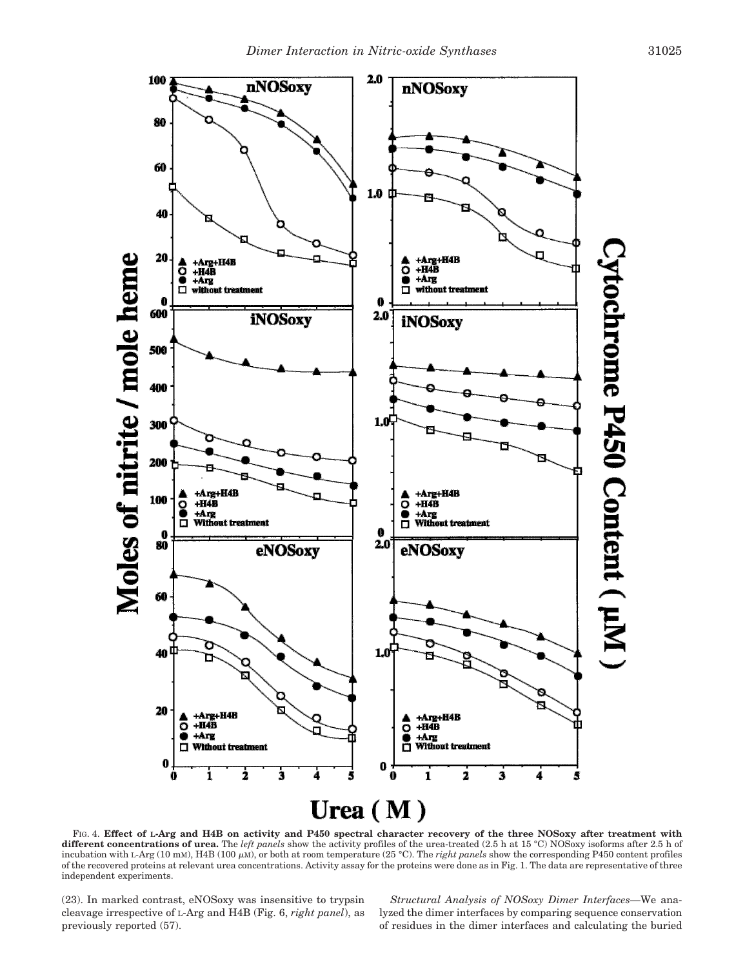

FIG. 4. **Effect of L-Arg and H4B on activity and P450 spectral character recovery of the three NOSoxy after treatment with** different concentrations of urea. The *left panels* show the activity profiles of the urea-treated (2.5 h at 15 °C) NOSoxy isoforms after 2.5 h of incubation with L-Arg (10 mm), H4B (100  $\mu$ m), or both at room temperature (25 °C). The *right panels* show the corresponding P450 content profiles of the recovered proteins at relevant urea concentrations. Activity assay for the proteins were done as in Fig. 1. The data are representative of three independent experiments.

(23). In marked contrast, eNOSoxy was insensitive to trypsin cleavage irrespective of L-Arg and H4B (Fig. 6, *right panel*), as previously reported (57).

*Structural Analysis of NOSoxy Dimer Interfaces—*We analyzed the dimer interfaces by comparing sequence conservation of residues in the dimer interfaces and calculating the buried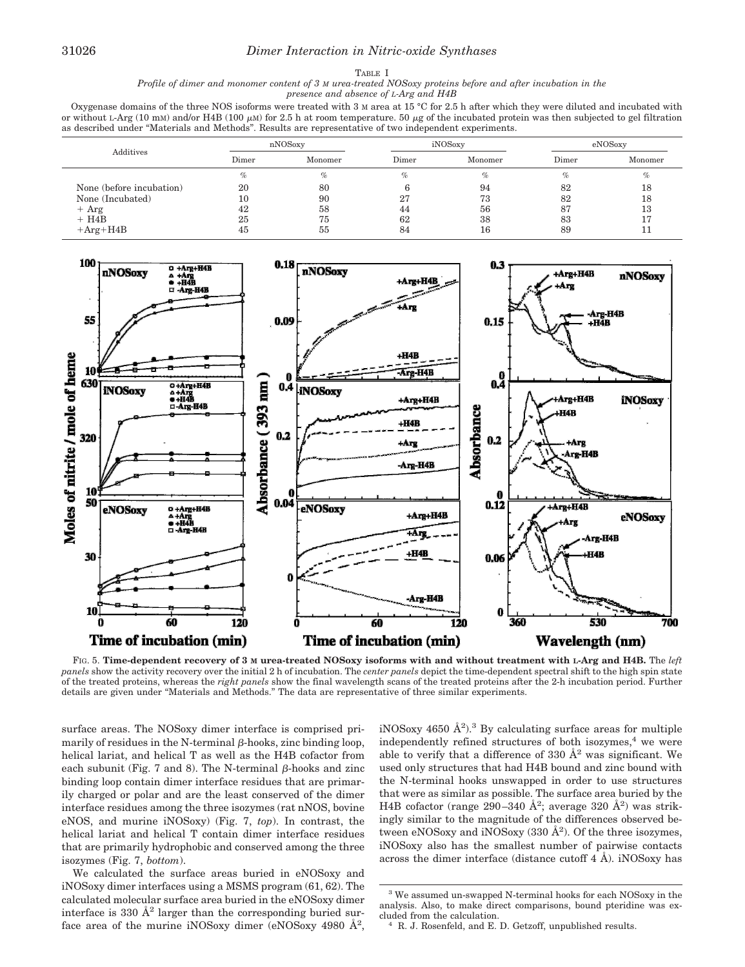### 31026 *Dimer Interaction in Nitric-oxide Synthases*

TABLE I

*Profile of dimer and monomer content of 3 M urea-treated NOSoxy proteins before and after incubation in the presence and absence of L-Arg and H4B*

Oxygenase domains of the three NOS isoforms were treated with 3 M area at 15 °C for 2.5 h after which they were diluted and incubated with or without L-Arg (10 mM) and/or H4B (100  $\mu$ M) for 2.5 h at room temperature. 50  $\mu$ g of the incubated protein was then subjected to gel filtration as described under "Materials and Methods". Results are representative of two independent experiments.

| Additives                | nNOSoxy |         | iNOSoxy |         | eNOSoxy |         |
|--------------------------|---------|---------|---------|---------|---------|---------|
|                          | Dimer   | Monomer | Dimer   | Monomer | Dimer   | Monomer |
|                          | %       | $\%$    | $\%$    | %       | $\%$    | $\%$    |
| None (before incubation) | 20      | 80      |         | 94      | 82      | 18      |
| None (Incubated)         | 0       | 90      | 27      | 73      | 82      | 18      |
| $+$ Arg                  | 42      | 58      | 44      | 56      | 87      | 13      |
| $+ H4B$                  | 25      | 75      | 62      | 38      | 83      |         |
| $+Arg+H4B$               | 45      | 55      | 84      | 16      | 89      |         |



FIG. 5. **Time-dependent recovery of 3 M urea-treated NOSoxy isoforms with and without treatment with L-Arg and H4B.** The *left panels* show the activity recovery over the initial 2 h of incubation. The *center panels* depict the time-dependent spectral shift to the high spin state of the treated proteins, whereas the *right panels* show the final wavelength scans of the treated proteins after the 2-h incubation period. Further details are given under "Materials and Methods." The data are representative of three similar experiments.

surface areas. The NOSoxy dimer interface is comprised primarily of residues in the N-terminal  $\beta$ -hooks, zinc binding loop, helical lariat, and helical T as well as the H4B cofactor from each subunit (Fig. 7 and 8). The N-terminal  $\beta$ -hooks and zinc binding loop contain dimer interface residues that are primarily charged or polar and are the least conserved of the dimer interface residues among the three isozymes (rat nNOS, bovine eNOS, and murine iNOSoxy) (Fig. 7, *top*). In contrast, the helical lariat and helical T contain dimer interface residues that are primarily hydrophobic and conserved among the three isozymes (Fig. 7, *bottom*).

We calculated the surface areas buried in eNOSoxy and iNOSoxy dimer interfaces using a MSMS program (61, 62). The calculated molecular surface area buried in the eNOSoxy dimer interface is 330  $\AA^2$  larger than the corresponding buried surface area of the murine iNOSoxy dimer (eNOSoxy 4980  $\AA^2$ ,

iNOSoxy 4650  $\AA^2$ ).<sup>3</sup> By calculating surface areas for multiple independently refined structures of both isozymes, $4$  we were able to verify that a difference of 330  $\AA^2$  was significant. We used only structures that had H4B bound and zinc bound with the N-terminal hooks unswapped in order to use structures that were as similar as possible. The surface area buried by the H4B cofactor (range 290–340 Å<sup>2</sup>; average 320 Å<sup>2</sup>) was strikingly similar to the magnitude of the differences observed between eNOSoxy and iNOSoxy (330  $\AA^2$ ). Of the three isozymes, iNOSoxy also has the smallest number of pairwise contacts across the dimer interface (distance cutoff  $4 \text{ Å}$ ). iNOSoxy has

<sup>3</sup> We assumed un-swapped N-terminal hooks for each NOSoxy in the analysis. Also, to make direct comparisons, bound pteridine was excluded from the calculation.

R. J. Rosenfeld, and E. D. Getzoff, unpublished results.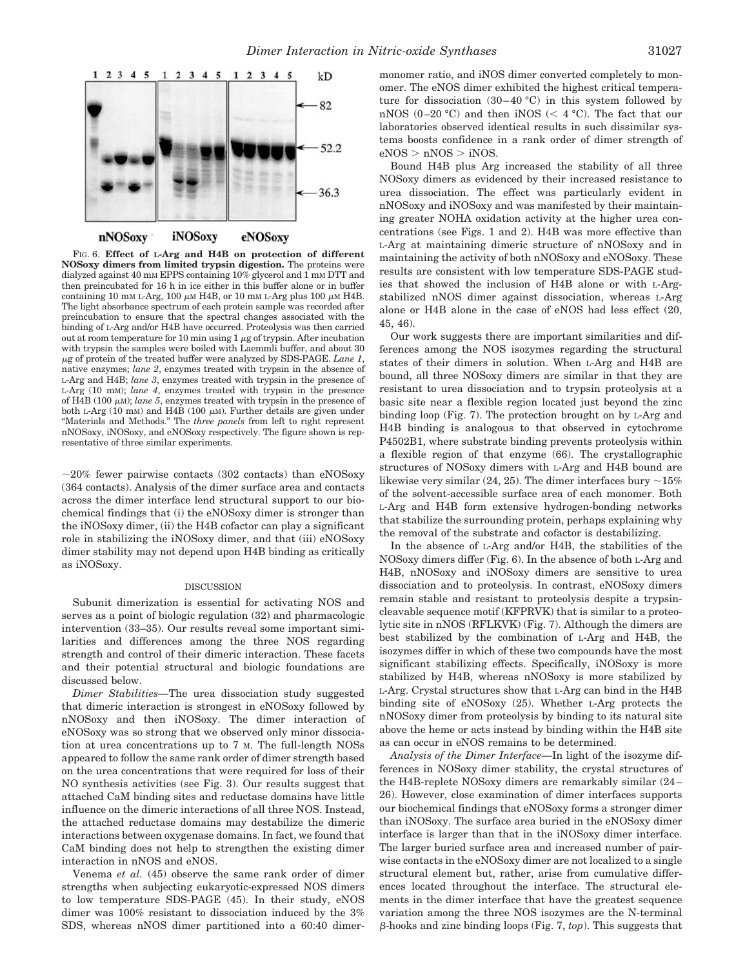

nNOSoxy iNOSoxy eNOSoxy

FIG. 6. **Effect of L-Arg and H4B on protection of different NOSoxy dimers from limited trypsin digestion.** The proteins were dialyzed against 40 mM EPPS containing 10% glycerol and 1 mM DTT and then preincubated for 16 h in ice either in this buffer alone or in buffer containing 10 mm L-Arg, 100  $\mu$ m H4B, or 10 mm L-Arg plus 100  $\mu$ m H4B. The light absorbance spectrum of each protein sample was recorded after preincubation to ensure that the spectral changes associated with the binding of L-Arg and/or H4B have occurred. Proteolysis was then carried out at room temperature for 10 min using  $1 \mu$ g of trypsin. After incubation with trypsin the samples were boiled with Laemmli buffer, and about 30 -g of protein of the treated buffer were analyzed by SDS-PAGE. *Lane 1*, native enzymes; *lane 2*, enzymes treated with trypsin in the absence of L-Arg and H4B; *lane 3*, enzymes treated with trypsin in the presence of L-Arg (10 mM); *lane 4*, enzymes treated with trypsin in the presence of H4B (100  $\mu$ m); *lane 5*, enzymes treated with trypsin in the presence of both L-Arg  $(10 \text{ mm})$  and H4B  $(100 \mu)$ . Further details are given under "Materials and Methods." The *three panels* from left to right represent nNOSoxy, iNOSoxy, and eNOSoxy respectively. The figure shown is representative of three similar experiments.

 $\sim$ 20% fewer pairwise contacts (302 contacts) than eNOSoxy (364 contacts). Analysis of the dimer surface area and contacts across the dimer interface lend structural support to our biochemical findings that (i) the eNOSoxy dimer is stronger than the iNOSoxy dimer, (ii) the H4B cofactor can play a significant role in stabilizing the iNOSoxy dimer, and that (iii) eNOSoxy dimer stability may not depend upon H4B binding as critically as iNOSoxy.

#### DISCUSSION

Subunit dimerization is essential for activating NOS and serves as a point of biologic regulation (32) and pharmacologic intervention (33–35). Our results reveal some important similarities and differences among the three NOS regarding strength and control of their dimeric interaction. These facets and their potential structural and biologic foundations are discussed below.

*Dimer Stabilities—*The urea dissociation study suggested that dimeric interaction is strongest in eNOSoxy followed by nNOSoxy and then iNOSoxy. The dimer interaction of eNOSoxy was so strong that we observed only minor dissociation at urea concentrations up to 7 M. The full-length NOSs appeared to follow the same rank order of dimer strength based on the urea concentrations that were required for loss of their NO synthesis activities (see Fig. 3). Our results suggest that attached CaM binding sites and reductase domains have little influence on the dimeric interactions of all three NOS. Instead, the attached reductase domains may destabilize the dimeric interactions between oxygenase domains. In fact, we found that CaM binding does not help to strengthen the existing dimer interaction in nNOS and eNOS.

Venema *et al.* (45) observe the same rank order of dimer strengths when subjecting eukaryotic-expressed NOS dimers to low temperature SDS-PAGE (45). In their study, eNOS dimer was 100% resistant to dissociation induced by the 3% SDS, whereas nNOS dimer partitioned into a 60:40 dimermonomer ratio, and iNOS dimer converted completely to monomer. The eNOS dimer exhibited the highest critical temperature for dissociation  $(30-40 \degree C)$  in this system followed by nNOS (0-20 °C) and then iNOS (<  $4$  °C). The fact that our laboratories observed identical results in such dissimilar systems boosts confidence in a rank order of dimer strength of  $eNOS > nNOS > iNOS$ .

Bound H4B plus Arg increased the stability of all three NOSoxy dimers as evidenced by their increased resistance to urea dissociation. The effect was particularly evident in nNOSoxy and iNOSoxy and was manifested by their maintaining greater NOHA oxidation activity at the higher urea concentrations (see Figs. 1 and 2). H4B was more effective than L-Arg at maintaining dimeric structure of nNOSoxy and in maintaining the activity of both nNOSoxy and eNOSoxy. These results are consistent with low temperature SDS-PAGE studies that showed the inclusion of H4B alone or with L-Argstabilized nNOS dimer against dissociation, whereas L-Arg alone or H4B alone in the case of eNOS had less effect (20,  $45, 46$ 

Our work suggests there are important similarities and differences among the NOS isozymes regarding the structural states of their dimers in solution. When L-Arg and H4B are bound, all three NOSoxy dimers are similar in that they are resistant to urea dissociation and to trypsin proteolysis at a basic site near a flexible region located just beyond the zinc binding loop (Fig. 7). The protection brought on by L-Arg and H4B binding is analogous to that observed in cytochrome P4502B1, where substrate binding prevents proteolysis within a flexible region of that enzyme (66). The crystallographic structures of NOSoxy dimers with L-Arg and H4B bound are likewise very similar (24, 25). The dimer interfaces bury  $\sim$ 15% of the solvent-accessible surface area of each monomer. Both L-Arg and H4B form extensive hydrogen-bonding networks that stabilize the surrounding protein, perhaps explaining why the removal of the substrate and cofactor is destabilizing.

In the absence of L-Arg and/or H4B, the stabilities of the NOSoxy dimers differ (Fig. 6). In the absence of both L-Arg and H4B, nNOSoxy and iNOSoxy dimers are sensitive to urea dissociation and to proteolysis. In contrast, eNOSoxy dimers remain stable and resistant to proteolysis despite a trypsincleavable sequence motif (KFPRVK) that is similar to a proteolytic site in nNOS (RFLKVK) (Fig. 7). Although the dimers are best stabilized by the combination of L-Arg and H4B, the isozymes differ in which of these two compounds have the most significant stabilizing effects. Specifically, iNOSoxy is more stabilized by H4B, whereas nNOSoxy is more stabilized by L-Arg. Crystal structures show that L-Arg can bind in the H4B binding site of eNOSoxy (25). Whether L-Arg protects the nNOSoxy dimer from proteolysis by binding to its natural site above the heme or acts instead by binding within the H4B site as can occur in eNOS remains to be determined.

*Analysis of the Dimer Interface—*In light of the isozyme differences in NOSoxy dimer stability, the crystal structures of the H4B-replete NOSoxy dimers are remarkably similar (24– 26). However, close examination of dimer interfaces supports our biochemical findings that eNOSoxy forms a stronger dimer than iNOSoxy. The surface area buried in the eNOSoxy dimer interface is larger than that in the iNOSoxy dimer interface. The larger buried surface area and increased number of pairwise contacts in the eNOSoxy dimer are not localized to a single structural element but, rather, arise from cumulative differences located throughout the interface. The structural elements in the dimer interface that have the greatest sequence variation among the three NOS isozymes are the N-terminal -hooks and zinc binding loops (Fig. 7, *top*). This suggests that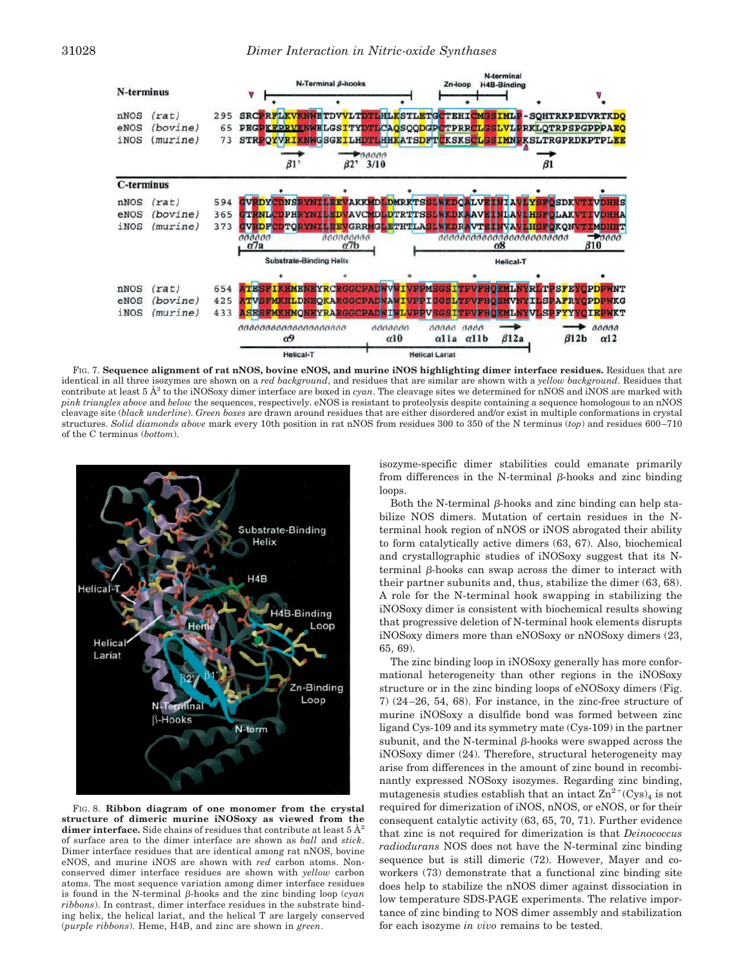

FIG. 7. **Sequence alignment of rat nNOS, bovine eNOS, and murine iNOS highlighting dimer interface residues.** Residues that are identical in all three isozymes are shown on a *red background*, and residues that are similar are shown with a *yellow background*. Residues that contribute at least 5  $\AA^2$  to the iNOSoxy dimer interface are boxed in *cyan*. The cleavage sites we determined for nNOS and iNOS are marked with *pink triangles above* and *below* the sequences, respectively. eNOS is resistant to proteolysis despite containing a sequence homologous to an nNOS cleavage site (*black underline*). *Green boxes* are drawn around residues that are either disordered and/or exist in multiple conformations in crystal structures. *Solid diamonds above* mark every 10th position in rat nNOS from residues 300 to 350 of the N terminus (*top*) and residues 600–710 of the C terminus (*bottom*).



FIG. 8. **Ribbon diagram of one monomer from the crystal structure of dimeric murine iNOSoxy as viewed from the dimer interface.** Side chains of residues that contribute at least 5 Å 2 of surface area to the dimer interface are shown as *ball* and *stick*. Dimer interface residues that are identical among rat nNOS, bovine eNOS, and murine iNOS are shown with *red* carbon atoms. Nonconserved dimer interface residues are shown with *yellow* carbon atoms. The most sequence variation among dimer interface residues is found in the N-terminal  $\beta$ -hooks and the zinc binding loop (*cyan*) *ribbons*). In contrast, dimer interface residues in the substrate binding helix, the helical lariat, and the helical T are largely conserved (*purple ribbons*). Heme, H4B, and zinc are shown in *green*.

isozyme-specific dimer stabilities could emanate primarily from differences in the N-terminal  $\beta$ -hooks and zinc binding loops.

Both the N-terminal  $\beta$ -hooks and zinc binding can help stabilize NOS dimers. Mutation of certain residues in the Nterminal hook region of nNOS or iNOS abrogated their ability to form catalytically active dimers (63, 67). Also, biochemical and crystallographic studies of iNOSoxy suggest that its Nterminal  $\beta$ -hooks can swap across the dimer to interact with their partner subunits and, thus, stabilize the dimer (63, 68). A role for the N-terminal hook swapping in stabilizing the iNOSoxy dimer is consistent with biochemical results showing that progressive deletion of N-terminal hook elements disrupts iNOSoxy dimers more than eNOSoxy or nNOSoxy dimers (23, 65, 69).

The zinc binding loop in iNOSoxy generally has more conformational heterogeneity than other regions in the iNOSoxy structure or in the zinc binding loops of eNOSoxy dimers (Fig. 7) (24–26, 54, 68). For instance, in the zinc-free structure of murine iNOSoxy a disulfide bond was formed between zinc ligand Cys-109 and its symmetry mate (Cys-109) in the partner subunit, and the N-terminal  $\beta$ -hooks were swapped across the iNOSoxy dimer (24). Therefore, structural heterogeneity may arise from differences in the amount of zinc bound in recombinantly expressed NOSoxy isozymes. Regarding zinc binding, mutagenesis studies establish that an intact  $\text{Zn}^{2+}(\text{Cys})_4$  is not required for dimerization of iNOS, nNOS, or eNOS, or for their consequent catalytic activity (63, 65, 70, 71). Further evidence that zinc is not required for dimerization is that *Deinococcus radiodurans* NOS does not have the N-terminal zinc binding sequence but is still dimeric (72). However, Mayer and coworkers (73) demonstrate that a functional zinc binding site does help to stabilize the nNOS dimer against dissociation in low temperature SDS-PAGE experiments. The relative importance of zinc binding to NOS dimer assembly and stabilization for each isozyme *in vivo* remains to be tested.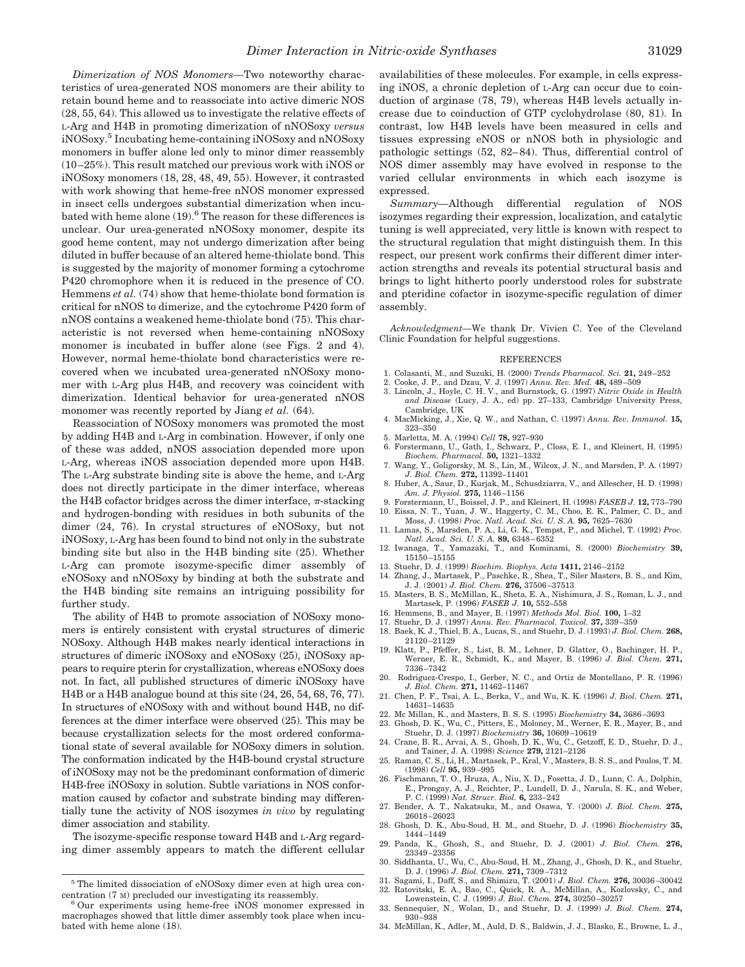*Dimerization of NOS Monomers—*Two noteworthy characteristics of urea-generated NOS monomers are their ability to retain bound heme and to reassociate into active dimeric NOS (28, 55, 64). This allowed us to investigate the relative effects of L-Arg and H4B in promoting dimerization of nNOSoxy *versus* iNOSoxy.<sup>5</sup> Incubating heme-containing iNOSoxy and nNOSoxy monomers in buffer alone led only to minor dimer reassembly (10–25%). This result matched our previous work with iNOS or iNOSoxy monomers (18, 28, 48, 49, 55). However, it contrasted with work showing that heme-free nNOS monomer expressed in insect cells undergoes substantial dimerization when incubated with heme alone  $(19)$ .<sup>6</sup> The reason for these differences is unclear. Our urea-generated nNOSoxy monomer, despite its good heme content, may not undergo dimerization after being diluted in buffer because of an altered heme-thiolate bond. This is suggested by the majority of monomer forming a cytochrome P420 chromophore when it is reduced in the presence of CO. Hemmens *et al.* (74) show that heme-thiolate bond formation is critical for nNOS to dimerize, and the cytochrome P420 form of nNOS contains a weakened heme-thiolate bond (75). This characteristic is not reversed when heme-containing nNOSoxy monomer is incubated in buffer alone (see Figs. 2 and 4). However, normal heme-thiolate bond characteristics were recovered when we incubated urea-generated nNOSoxy monomer with L-Arg plus H4B, and recovery was coincident with dimerization. Identical behavior for urea-generated nNOS monomer was recently reported by Jiang *et al.* (64).

Reassociation of NOSoxy monomers was promoted the most by adding H4B and L-Arg in combination. However, if only one of these was added, nNOS association depended more upon L-Arg, whereas iNOS association depended more upon H4B. The L-Arg substrate binding site is above the heme, and L-Arg does not directly participate in the dimer interface, whereas the H4B cofactor bridges across the dimer interface,  $\pi$ -stacking and hydrogen-bonding with residues in both subunits of the dimer (24, 76). In crystal structures of eNOSoxy, but not iNOSoxy, L-Arg has been found to bind not only in the substrate binding site but also in the H4B binding site (25). Whether L-Arg can promote isozyme-specific dimer assembly of eNOSoxy and nNOSoxy by binding at both the substrate and the H4B binding site remains an intriguing possibility for further study.

The ability of H4B to promote association of NOSoxy monomers is entirely consistent with crystal structures of dimeric NOSoxy. Although H4B makes nearly identical interactions in structures of dimeric iNOSoxy and eNOSoxy (25), iNOSoxy appears to require pterin for crystallization, whereas eNOSoxy does not. In fact, all published structures of dimeric iNOSoxy have H4B or a H4B analogue bound at this site (24, 26, 54, 68, 76, 77). In structures of eNOSoxy with and without bound H4B, no differences at the dimer interface were observed (25). This may be because crystallization selects for the most ordered conformational state of several available for NOSoxy dimers in solution. The conformation indicated by the H4B-bound crystal structure of iNOSoxy may not be the predominant conformation of dimeric H4B-free iNOSoxy in solution. Subtle variations in NOS conformation caused by cofactor and substrate binding may differentially tune the activity of NOS isozymes *in vivo* by regulating dimer association and stability*.*

The isozyme-specific response toward H4B and L-Arg regarding dimer assembly appears to match the different cellular

availabilities of these molecules. For example, in cells expressing iNOS, a chronic depletion of L-Arg can occur due to coinduction of arginase (78, 79), whereas H4B levels actually increase due to coinduction of GTP cyclohydrolase (80, 81). In contrast, low H4B levels have been measured in cells and tissues expressing eNOS or nNOS both in physiologic and pathologic settings (52, 82–84). Thus, differential control of NOS dimer assembly may have evolved in response to the varied cellular environments in which each isozyme is expressed.

*Summary—*Although differential regulation of NOS isozymes regarding their expression, localization, and catalytic tuning is well appreciated, very little is known with respect to the structural regulation that might distinguish them. In this respect, our present work confirms their different dimer interaction strengths and reveals its potential structural basis and brings to light hitherto poorly understood roles for substrate and pteridine cofactor in isozyme-specific regulation of dimer assembly.

*Acknowledgment—*We thank Dr. Vivien C. Yee of the Cleveland Clinic Foundation for helpful suggestions.

#### REFERENCES

- 1. Colasanti, M., and Suzuki, H. (2000) *Trends Pharmacol. Sci.* **21,** 249–252
- 
- 2. Cooke, J. P., and Dzau, V. J. (1997) *Annu. Rev. Med.* **48,** 489–509 3. Lincoln, J., Hoyle, C. H. V., and Burnstock, G. (1997) *Nitric Oxide in Health and Disease* (Lucy, J. A., ed) pp. 27–133, Cambridge University Press, Cambridge, UK
- 4. MacMicking, J., Xie, Q. W., and Nathan, C. (1997) *Annu. Rev. Immunol.* **15,** 323–350
- 5. Marletta, M. A. (1994) *Cell* **78,** 927–930
- 6. Forstermann, U., Gath, I., Schwarz, P., Closs, E. I., and Kleinert, H. (1995) *Biochem. Pharmacol.* **50,** 1321–1332
- 7. Wang, Y., Goligorsky, M. S., Lin, M., Wilcox, J. N., and Marsden, P. A. (1997) *J. Biol. Chem.* **272,** 11392–11401
- 8. Huber, A., Saur, D., Kurjak, M., Schusdziarra, V., and Allescher, H. D. (1998) *Am. J. Physiol.* **275,** 1146–1156
- 9. Forstermann, U., Boissel, J. P., and Kleinert, H. (1998) *FASEB J.* **12,** 773–790 10. Eissa, N. T., Yuan, J. W., Haggerty, C. M., Choo, E. K., Palmer, C. D., and Moss, J. (1998) *Proc. Natl. Acad. Sci. U. S. A.* **95,** 7625–7630
- 11. Lamas, S., Marsden, P. A., Li, G. K., Tempst, P., and Michel, T. (1992) *Proc. Natl. Acad. Sci. U. S. A.* **89,** 6348–6352
- 12. Iwanaga, T., Yamazaki, T., and Kominami, S. (2000) *Biochemistry* **39,** 15150–15155
- 13. Stuehr, D. J. (1999) *Biochim. Biophys. Acta* **1411,** 2146–2152
- 14. Zhang, J., Martasek, P., Paschke, R., Shea, T., Siler Masters, B. S., and Kim, J. J. (2001) *J. Biol. Chem.* **276,** 37506–37513
- 15. Masters, B. S., McMillan, K., Sheta, E. A., Nishimura, J. S., Roman, L. J., and Martasek, P. (1996) *FASEB J.* **10,** 552–558
- 16. Hemmens, B., and Mayer, B. (1997) *Methods Mol. Biol.* **100,** 1–32
- 17. Stuehr, D. J. (1997) *Annu. Rev. Pharmacol. Toxicol.* **37,** 339–359
- 18. Baek, K. J., Thiel, B. A., Lucas, S., and Stuehr, D. J. (1993) *J. Biol. Chem.* **268,** 21120–21129
- 19. Klatt, P., Pfeffer, S., List, B. M., Lehner, D. Glatter, O., Bachinger, H. P., Werner, E. R., Schmidt, K., and Mayer, B. (1996) *J. Biol. Chem.* **271,** 7336–7342
- 20. Rodriguez-Crespo, I., Gerber, N. C., and Ortiz de Montellano, P. R. (1996) *J. Biol. Chem.* **271,** 11462–11467
- 21. Chen, P. F., Tsai, A. L., Berka, V., and Wu, K. K. (1996) *J. Biol. Chem.* **271,** 14631–14635
- 22. Mc Millan, K., and Masters, B. S. S. (1995) *Biochemistry* **34,** 3686–3693
- 23. Ghosh, D. K., Wu, C., Pitters, E., Moloney, M., Werner, E. R., Mayer, B., and Stuehr, D. J. (1997) *Biochemistry* **36,** 10609–10619
- 24. Crane, B. R., Arvai, A. S., Ghosh, D. K., Wu, C., Getzoff, E. D., Stuehr, D. J., and Tainer, J. A. (1998) *Science* **279,** 2121–2126
- 25. Raman, C. S., Li, H., Martasek, P., Kral, V., Masters, B. S. S., and Poulos, T. M. (1998) *Cell* **95,** 939–995
- 26. Fischmann, T. O., Hruza, A., Niu, X. D., Fosetta, J. D., Lunn, C. A., Dolphin, E., Prongay, A. J., Reichter, P., Lundell, D. J., Narula, S. K., and Weber, P. C. (1999) *Nat. Strucr. Biol.* **6,** 233–242
- 27. Bender, A. T., Nakatsuka, M., and Osawa, Y. (2000) *J. Biol. Chem.* **275,** 26018–26023
- 28. Ghosh, D. K., Abu-Soud, H. M., and Stuehr, D. J. (1996) *Biochemistry* **35,** 1444–1449
- 29. Panda, K., Ghosh, S., and Stuehr, D. J. (2001) *J. Biol. Chem.* **276,** 23349–23356
- 30. Siddhanta, U., Wu, C., Abu-Soud, H. M., Zhang, J., Ghosh, D. K., and Stuehr, D. J. (1996) *J. Biol. Chem.* **271,** 7309–7312 31. Sagami, I., Daff, S., and Shimizu, T. (2001) *J. Biol. Chem.* **276,** 30036–30042
- 32. Ratovitski, E. A., Bao, C., Quick, R. A., McMillan, A., Kozlovsky, C., and Lowenstein, C. J. (1999) *J. Biol. Chem.* **274,** 30250–30257
- 33. Sennequier, N., Wolan, D., and Stuehr, D. J. (1999) *J. Biol. Chem.* **274,** 930–938
- 34. McMillan, K., Adler, M., Auld, D. S., Baldwin, J. J., Blasko, E., Browne, L. J.,

<sup>5</sup> The limited dissociation of eNOSoxy dimer even at high urea concentration (7 M) precluded our investigating its reassembly.

<sup>6</sup> Our experiments using heme-free iNOS monomer expressed in macrophages showed that little dimer assembly took place when incubated with heme alone (18).